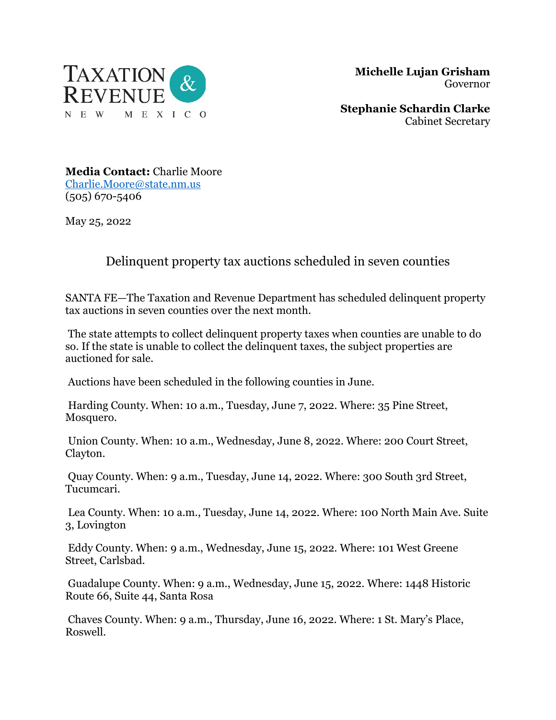

 **Michelle Lujan Grisham** Governor

**Stephanie Schardin Clarke** Cabinet Secretary

**Media Contact:** Charlie Moore [Charlie.Moore@state.nm.us](mailto:Charlie.Moore@state.nm.us) (505) 670-5406

May 25, 2022

## Delinquent property tax auctions scheduled in seven counties

SANTA FE—The Taxation and Revenue Department has scheduled delinquent property tax auctions in seven counties over the next month.

The state attempts to collect delinquent property taxes when counties are unable to do so. If the state is unable to collect the delinquent taxes, the subject properties are auctioned for sale.

Auctions have been scheduled in the following counties in June.

Harding County. When: 10 a.m., Tuesday, June 7, 2022. Where: 35 Pine Street, Mosquero.

Union County. When: 10 a.m., Wednesday, June 8, 2022. Where: 200 Court Street, Clayton.

Quay County. When: 9 a.m., Tuesday, June 14, 2022. Where: 300 South 3rd Street, Tucumcari.

Lea County. When: 10 a.m., Tuesday, June 14, 2022. Where: 100 North Main Ave. Suite 3, Lovington

Eddy County. When: 9 a.m., Wednesday, June 15, 2022. Where: 101 West Greene Street, Carlsbad.

Guadalupe County. When: 9 a.m., Wednesday, June 15, 2022. Where: 1448 Historic Route 66, Suite 44, Santa Rosa

Chaves County. When: 9 a.m., Thursday, June 16, 2022. Where: 1 St. Mary's Place, Roswell.